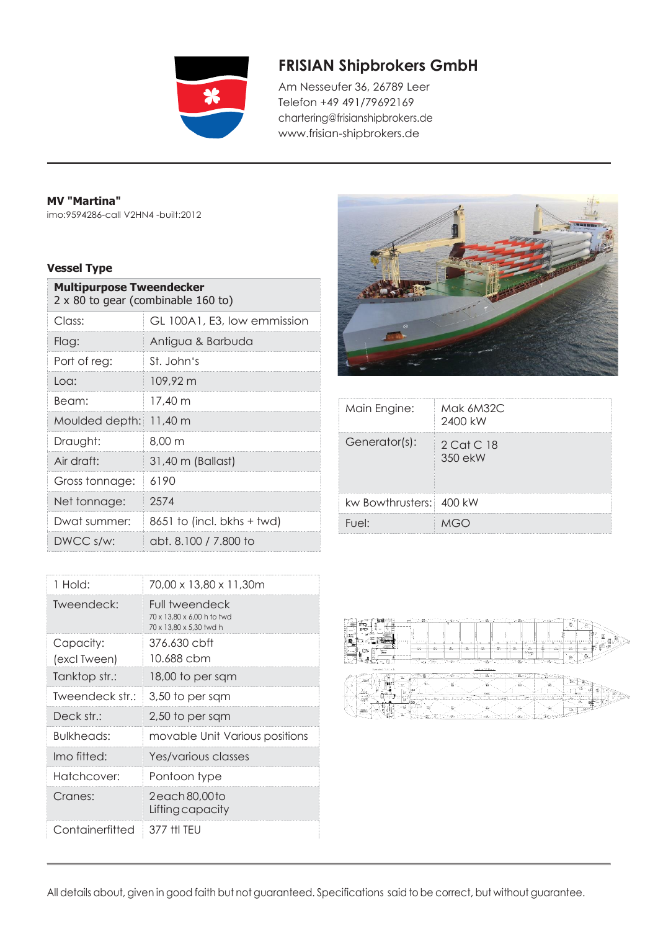

## **FRISIAN Shipbrokers GmbH**

Am Nesseufer 36, 26789 Leer Telefon +49 491/79692169 [chart](mailto:chartering@frisianshipbrokers.de)[ering@frisianshipbrokers.de](mailto:ering@frisianshipbrokers.de) [www.frisian-shipbrokers.de](http://www.frisian-shipbrokers.de/)

## **MV "Martina"**

imo:9594286-call V2HN4 -built:2012

## **Vessel Type**

| <b>Multipurpose Tweendecker</b><br>2 x 80 to gear (combinable 160 to) |                              |
|-----------------------------------------------------------------------|------------------------------|
| Class:                                                                | GL 100A1, E3, low emmission  |
| Flag:                                                                 | Antigua & Barbuda            |
| Port of reg:                                                          | St. John's                   |
| Loa:                                                                  | 109.92 m                     |
| Beam:                                                                 | 17.40 m                      |
| Moulded depth:                                                        | 11,40 m                      |
| Draught:                                                              | 8.00 <sub>m</sub>            |
| Air draft:                                                            | 31,40 m (Ballast)            |
| Gross tonnage:                                                        | 6190                         |
| Net tonnage:                                                          | 2574                         |
| Dwat summer:                                                          | $8651$ to (incl. bkhs + twd) |
| DWCC s/w:                                                             | abt. 8.100 / 7.800 to        |

| 1 Hold:         | 70,00 x 13,80 x 11,30m                                                  |
|-----------------|-------------------------------------------------------------------------|
| Tweendeck:      | Full tweendeck<br>70 x 13.80 x 6.00 h to twd<br>70 x 13.80 x 5.30 twd h |
| Capacity:       | 376.630 cbft                                                            |
| (excl Tween)    | 10.688 cbm                                                              |
| Tanktop str.:   | 18,00 to per sqm                                                        |
| Tweendeck str.: | 3,50 to per sqm                                                         |
| Deck str.:      | 2,50 to per sqm                                                         |
| Bulkheads:      | movable Unit Various positions                                          |
| Imo fitted:     | Yes/various classes                                                     |
| Hatchcover:     | Pontoon type                                                            |
| Cranes:         | 2 each 80,00 to<br>Lifting capacity                                     |
| Containerfitted | 377 HI TFU                                                              |



| Main Engine:            | Mak 6M32C<br>2400 kW  |
|-------------------------|-----------------------|
| Generator(s):           | 2 Cat C 18<br>350 ekW |
| kw Bowthrusters: 400 kW |                       |
| Fuel:                   |                       |